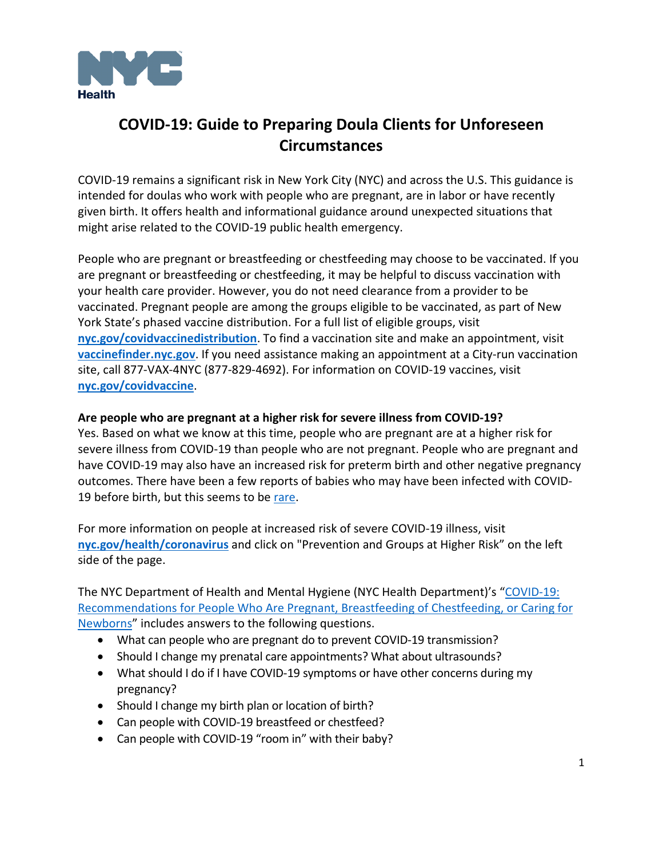

# **COVID-19: Guide to Preparing Doula Clients for Unforeseen Circumstances**

COVID-19 remains a significant risk in New York City (NYC) and across the U.S. This guidance is intended for doulas who work with people who are pregnant, are in labor or have recently given birth. It offers health and informational guidance around unexpected situations that might arise related to the COVID-19 public health emergency.

People who are pregnant or breastfeeding or chestfeeding may choose to be vaccinated. If you are pregnant or breastfeeding or chestfeeding, it may be helpful to discuss vaccination with your health care provider. However, you do not need clearance from a provider to be vaccinated. Pregnant people are among the groups eligible to be vaccinated, as part of New York State's phased vaccine distribution. For a full list of eligible groups, visit **[nyc.gov/covidvaccinedistribution](https://www1.nyc.gov/site/doh/covid/covid-19-vaccine-eligibility.page)**. To find a vaccination site and make an appointment, visit **[vaccinefinder.nyc.gov](http://vaccinefinder.nyc.gov/)**. If you need assistance making an appointment at a City-run vaccination site, call 877-VAX-4NYC (877-829-4692). For information on COVID-19 vaccines, visit **[nyc.gov/covidvaccine](https://www1.nyc.gov/site/doh/covid/covid-19-vaccines.page)**.

#### **Are people who are pregnant at a higher risk for severe illness from COVID-19?**

Yes. Based on what we know at this time, people who are pregnant are at a higher risk for severe illness from COVID-19 than people who are not pregnant. People who are pregnant and have COVID-19 may also have an increased risk for preterm birth and other negative pregnancy outcomes. There have been a few reports of babies who may have been infected with COVID-19 before birth, but this seems to be [rare.](https://www.ncbi.nlm.nih.gov/pmc/articles/PMC7392880/pdf/main.pdf)

For more information on people at increased risk of severe COVID-19 illness, visit **[nyc.gov/health/coronavirus](https://www1.nyc.gov/site/doh/covid/covid-19-main.page)** and click on "Prevention and Groups at Higher Risk" on the left side of the page.

The NYC Department of Health and Mental Hygiene (NYC Health Department)'s "COVID-19: [Recommendations for People Who Are Pregnant, Breastfeeding of Chestfeeding, or Caring for](https://www1.nyc.gov/assets/doh/downloads/pdf/imm/covid-19-guidance-for-pregnant-people.pdf)  [Newborns"](https://www1.nyc.gov/assets/doh/downloads/pdf/imm/covid-19-guidance-for-pregnant-people.pdf) includes answers to the following questions.

- What can people who are pregnant do to prevent COVID-19 transmission?
- Should I change my prenatal care appointments? What about ultrasounds?
- What should I do if I have COVID-19 symptoms or have other concerns during my pregnancy?
- Should I change my birth plan or location of birth?
- Can people with COVID-19 breastfeed or chestfeed?
- Can people with COVID-19 "room in" with their baby?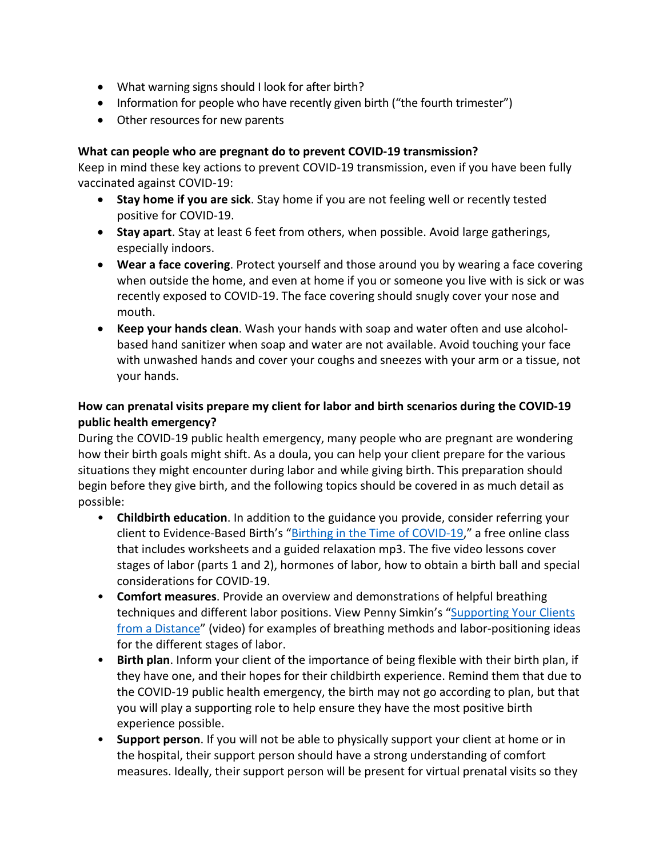- What warning signs should I look for after birth?
- Information for people who have recently given birth ("the fourth trimester")
- Other resources for new parents

#### **What can people who are pregnant do to prevent COVID-19 transmission?**

Keep in mind these key actions to prevent COVID-19 transmission, even if you have been fully vaccinated against COVID-19:

- **Stay home if you are sick**. Stay home if you are not feeling well or recently tested positive for COVID-19.
- **Stay apart**. Stay at least 6 feet from others, when possible. Avoid large gatherings, especially indoors.
- **Wear a face covering**. Protect yourself and those around you by wearing a face covering when outside the home, and even at home if you or someone you live with is sick or was recently exposed to COVID-19. The face covering should snugly cover your nose and mouth.
- **Keep your hands clean**. Wash your hands with soap and water often and use alcoholbased hand sanitizer when soap and water are not available. Avoid touching your face with unwashed hands and cover your coughs and sneezes with your arm or a tissue, not your hands.

# **How can prenatal visits prepare my client for labor and birth scenarios during the COVID-19 public health emergency?**

During the COVID-19 public health emergency, many people who are pregnant are wondering how their birth goals might shift. As a doula, you can help your client prepare for the various situations they might encounter during labor and while giving birth. This preparation should begin before they give birth, and the following topics should be covered in as much detail as possible:

- **Childbirth education**. In addition to the guidance you provide, consider referring your client to Evidence-Based Birth's ["Birthing in the Time of COVID-19,](https://evidencebasedbirth.com/birthing-in-the-time-of-covid-19/)" a free online class that includes worksheets and a guided relaxation mp3. The five video lessons cover stages of labor (parts 1 and 2), hormones of labor, how to obtain a birth ball and special considerations for COVID-19.
- **Comfort measures**. Provide an overview and demonstrations of helpful breathing techniques and different labor positions. View Penny Simkin's "Supporting Your Clients [from a Distance"](https://vimeo.com/399348440) (video) for examples of breathing methods and labor-positioning ideas for the different stages of labor.
- **Birth plan**. Inform your client of the importance of being flexible with their birth plan, if they have one, and their hopes for their childbirth experience. Remind them that due to the COVID-19 public health emergency, the birth may not go according to plan, but that you will play a supporting role to help ensure they have the most positive birth experience possible.
- **Support person**. If you will not be able to physically support your client at home or in the hospital, their support person should have a strong understanding of comfort measures. Ideally, their support person will be present for virtual prenatal visits so they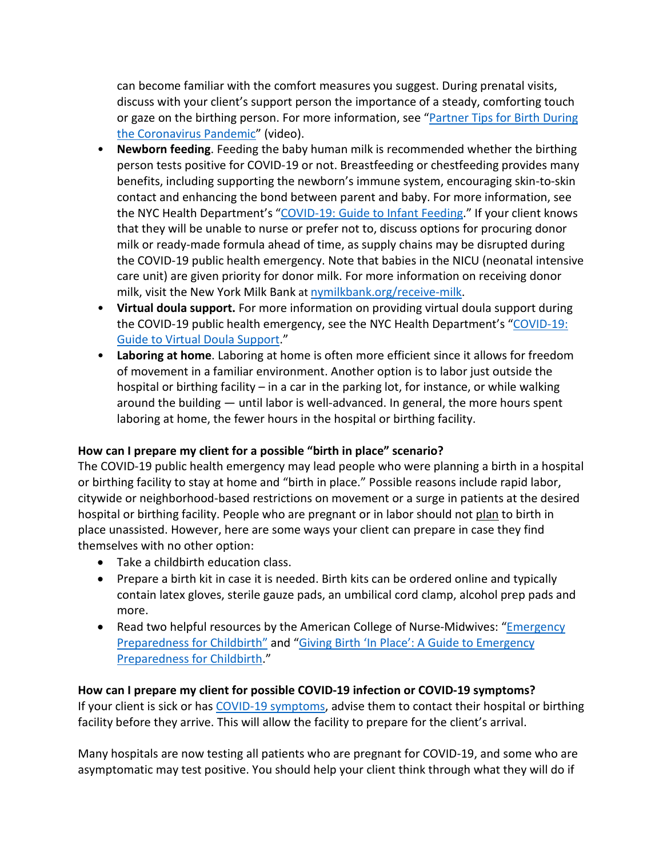can become familiar with the comfort measures you suggest. During prenatal visits, discuss with your client's support person the importance of a steady, comforting touch or gaze on the birthing person. For more information, see ["Partner Tips for Birth During](https://www.youtube.com/watch?v=dEhNAMb2W-k&feature=youtu.be)  [the Coronavirus Pandemic"](https://www.youtube.com/watch?v=dEhNAMb2W-k&feature=youtu.be) (video).

- **Newborn feeding**. Feeding the baby human milk is recommended whether the birthing person tests positive for COVID-19 or not. Breastfeeding or chestfeeding provides many benefits, including supporting the newborn's immune system, encouraging skin-to-skin contact and enhancing the bond between parent and baby. For more information, see the NYC Health Department's ["COVID-19: Guide to Infant Feeding.](https://www1.nyc.gov/assets/doh/downloads/pdf/imm/covid-19-infant-feeding.pdf)" If your client knows that they will be unable to nurse or prefer not to, discuss options for procuring donor milk or ready-made formula ahead of time, as supply chains may be disrupted during the COVID-19 public health emergency. Note that babies in the NICU (neonatal intensive care unit) are given priority for donor milk. For more information on receiving donor milk, visit the New York Milk Bank at [nymilkbank.org/receive-milk.](https://www.nymilkbank.org/receive-milk/)
- **Virtual doula support.** For more information on providing virtual doula support during the COVID-19 public health emergency, see the NYC Health Department's "COVID-19: [Guide to Virtual Doula Support.](https://www1.nyc.gov/assets/doh/downloads/pdf/imm/covid-19-virtual-doula-support.pdf)"
- **Laboring at home**. Laboring at home is often more efficient since it allows for freedom of movement in a familiar environment. Another option is to labor just outside the hospital or birthing facility – in a car in the parking lot, for instance, or while walking around the building — until labor is well-advanced. In general, the more hours spent laboring at home, the fewer hours in the hospital or birthing facility.

### **How can I prepare my client for a possible "birth in place" scenario?**

The COVID-19 public health emergency may lead people who were planning a birth in a hospital or birthing facility to stay at home and "birth in place." Possible reasons include rapid labor, citywide or neighborhood-based restrictions on movement or a surge in patients at the desired hospital or birthing facility. People who are pregnant or in labor should not plan to birth in place unassisted. However, here are some ways your client can prepare in case they find themselves with no other option:

- Take a childbirth education class.
- Prepare a birth kit in case it is needed. Birth kits can be ordered online and typically contain latex gloves, sterile gauze pads, an umbilical cord clamp, alcohol prep pads and more.
- Read two helpful resources by the American College of Nurse-Midwives: ["Emergency](https://www.midwife.org/ACNM/files/ccLibraryFiles/Filename/000000000731/Emergency%20Preparedness%20for%20Childbirth.pdf)  [Preparedness for Childbirth"](https://www.midwife.org/ACNM/files/ccLibraryFiles/Filename/000000000731/Emergency%20Preparedness%20for%20Childbirth.pdf) and ["Giving Birth 'In Place': A Guide to Emergency](https://www.midwife.org/acnm/files/cclibraryfiles/filename/000000007806/giving_birth_in_place.pdf)  [Preparedness for Childbirth."](https://www.midwife.org/acnm/files/cclibraryfiles/filename/000000007806/giving_birth_in_place.pdf)

### **How can I prepare my client for possible COVID-19 infection or COVID-19 symptoms?**

If your client is sick or has [COVID-19 symptoms,](https://www1.nyc.gov/site/doh/covid/covid-19-symptoms-chronic-health-risks.page) advise them to contact their hospital or birthing facility before they arrive. This will allow the facility to prepare for the client's arrival.

Many hospitals are now testing all patients who are pregnant for COVID-19, and some who are asymptomatic may test positive. You should help your client think through what they will do if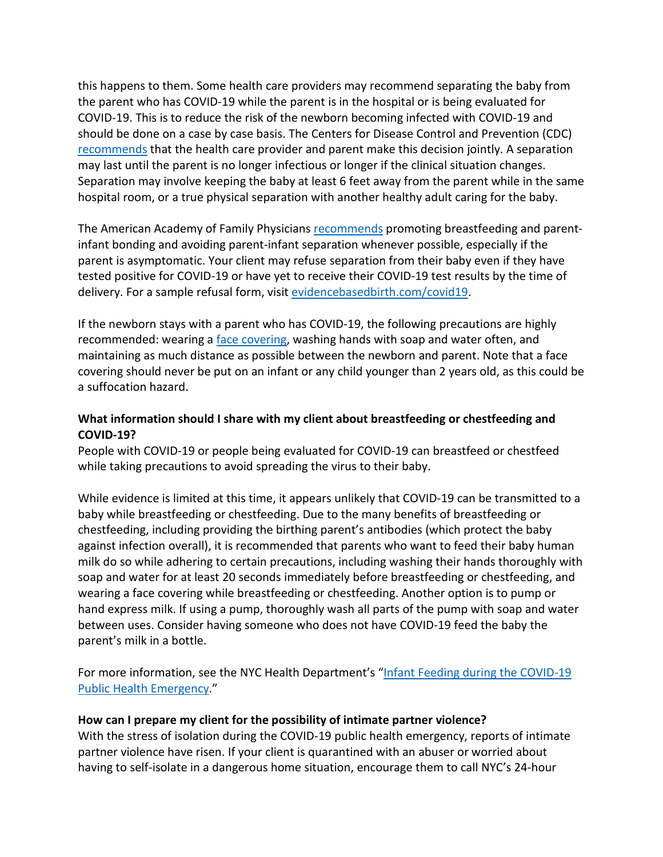this happens to them. Some health care providers may recommend separating the baby from the parent who has COVID-19 while the parent is in the hospital or is being evaluated for COVID-19. This is to reduce the risk of the newborn becoming infected with COVID-19 and should be done on a case by case basis. The Centers for Disease Control and Prevention (CDC) [recommends](https://www.cdc.gov/coronavirus/2019-ncov/hcp/caring-for-newborns.html) that the health care provider and parent make this decision jointly. A separation may last until the parent is no longer infectious or longer if the clinical situation changes. Separation may involve keeping the baby at least 6 feet away from the parent while in the same hospital room, or a true physical separation with another healthy adult caring for the baby.

The American Academy of Family Physicians [recommends](https://www.aafp.org/dam/AAFP/documents/patient_care/public_health/AAFP-COVID-Breastfeeding-Policy.pdf) promoting breastfeeding and parentinfant bonding and avoiding parent-infant separation whenever possible, especially if the parent is asymptomatic. Your client may refuse separation from their baby even if they have tested positive for COVID-19 or have yet to receive their COVID-19 test results by the time of delivery. For a sample refusal form, visit [evidencebasedbirth.com/covid19.](https://evidencebasedbirth.com/covid19/)

If the newborn stays with a parent who has COVID-19, the following precautions are highly recommended: wearing a [face covering,](https://www1.nyc.gov/assets/doh/downloads/pdf/imm/covid-19-face-covering-faq.pdf) washing hands with soap and water often, and maintaining as much distance as possible between the newborn and parent. Note that a face covering should never be put on an infant or any child younger than 2 years old, as this could be a suffocation hazard.

# **What information should I share with my client about breastfeeding or chestfeeding and COVID-19?**

People with COVID-19 or people being evaluated for COVID-19 can breastfeed or chestfeed while taking precautions to avoid spreading the virus to their baby.

While evidence is limited at this time, it appears unlikely that COVID-19 can be transmitted to a baby while breastfeeding or chestfeeding. Due to the many benefits of breastfeeding or chestfeeding, including providing the birthing parent's antibodies (which protect the baby against infection overall), it is recommended that parents who want to feed their baby human milk do so while adhering to certain precautions, including washing their hands thoroughly with soap and water for at least 20 seconds immediately before breastfeeding or chestfeeding, and wearing a face covering while breastfeeding or chestfeeding. Another option is to pump or hand express milk. If using a pump, thoroughly wash all parts of the pump with soap and water between uses. Consider having someone who does not have COVID-19 feed the baby the parent's milk in a bottle.

For more information, see the NYC Health Department's "Infant Feeding during the COVID-19 [Public Health Emergency.](https://www1.nyc.gov/assets/doh/downloads/pdf/imm/covid-19-infant-feeding.pdf)"

### **How can I prepare my client for the possibility of intimate partner violence?**

With the stress of isolation during the COVID-19 public health emergency, reports of intimate partner violence have risen. If your client is quarantined with an abuser or worried about having to self-isolate in a dangerous home situation, encourage them to call NYC's 24-hour